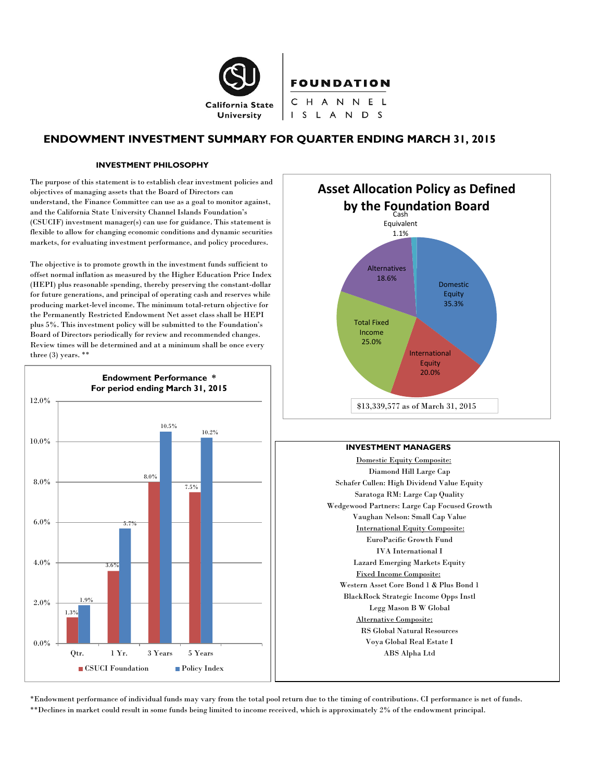

# **ENDOWMENT INVESTMENT SUMMARY FOR QUARTER ENDING MARCH 31, 2015**

#### **INVESTMENT PHILOSOPHY**

The purpose of this statement is to establish clear investment policies and objectives of managing assets that the Board of Directors can understand, the Finance Committee can use as a goal to monitor against, and the California State University Channel Islands Foundation's (CSUCIF) investment manager(s) can use for guidance. This statement is flexible to allow for changing economic conditions and dynamic securities markets, for evaluating investment performance, and policy procedures.

The objective is to promote growth in the investment funds sufficient to offset normal inflation as measured by the Higher Education Price Index (HEPI) plus reasonable spending, thereby preserving the constant-dollar for future generations, and principal of operating cash and reserves while producing market-level income. The minimum total-return objective for the Permanently Restricted Endowment Net asset class shall be HEPI plus 5%. This investment policy will be submitted to the Foundation's Board of Directors periodically for review and recommended changes. Review times will be determined and at a minimum shall be once every three (3) years. \*\*





#### **INVESTMENT MANAGERS**

Domestic Equity Composite: Diamond Hill Large Cap Schafer Cullen: High Dividend Value Equity Saratoga RM: Large Cap Quality Wedgewood Partners: Large Cap Focused Growth Vaughan Nelson: Small Cap Value International Equity Composite: EuroPacific Growth Fund IVA International I Lazard Emerging Markets Equity Fixed Income Composite: Western Asset Core Bond 1 & Plus Bond 1 BlackRock Strategic Income Opps Instl Legg Mason B W Global Alternative Composite: RS Global Natural Resources Voya Global Real Estate I ABS Alpha Ltd

\*Endowment performance of individual funds may vary from the total pool return due to the timing of contributions. CI performance is net of funds. \*\*Declines in market could result in some funds being limited to income received, which is approximately 2% of the endowment principal.